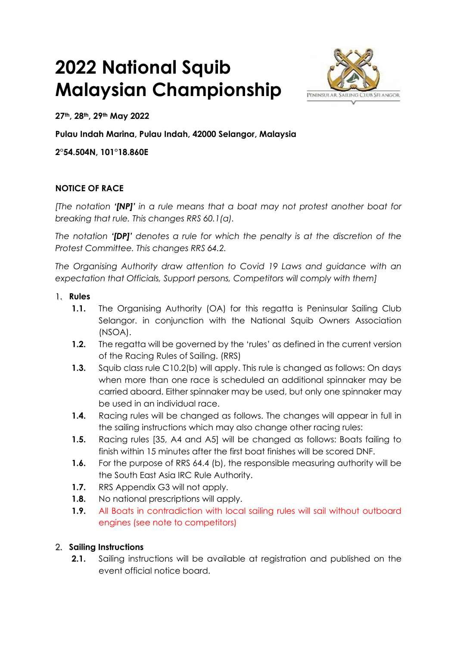# **2022 National Squib Malaysian Championship**



**27th, 28th, 29th May 2022**

**Pulau Indah Marina, Pulau Indah, 42000 Selangor, Malaysia**

**2°54.504N, 101°18.860E**

## **NOTICE OF RACE**

*[The notation '[NP]' in a rule means that a boat may not protest another boat for breaking that rule. This changes RRS 60.1(a).*

*The notation '[DP]' denotes a rule for which the penalty is at the discretion of the Protest Committee. This changes RRS 64.2.* 

*The Organising Authority draw attention to Covid 19 Laws and guidance with an expectation that Officials, Support persons, Competitors will comply with them]*

#### 1. **Rules**

- **1.1.** The Organising Authority (OA) for this regatta is Peninsular Sailing Club Selangor. in conjunction with the National Squib Owners Association (NSOA).
- **1.2.** The regatta will be governed by the 'rules' as defined in the current version of the Racing Rules of Sailing. (RRS)
- **1.3.** Squib class rule C10.2(b) will apply. This rule is changed as follows: On days when more than one race is scheduled an additional spinnaker may be carried aboard. Either spinnaker may be used, but only one spinnaker may be used in an individual race.
- **1.4.** Racing rules will be changed as follows. The changes will appear in full in the sailing instructions which may also change other racing rules:
- **1.5.** Racing rules [35, A4 and A5] will be changed as follows: Boats failing to finish within 15 minutes after the first boat finishes will be scored DNF.
- **1.6.** For the purpose of RRS 64.4 (b), the responsible measuring authority will be the South East Asia IRC Rule Authority.
- **1.7.** RRS Appendix G3 will not apply.
- **1.8.** No national prescriptions will apply.
- **1.9.** All Boats in contradiction with local sailing rules will sail without outboard engines (see note to competitors)

## 2. **Sailing Instructions**

**2.1.** Sailing instructions will be available at registration and published on the event official notice board.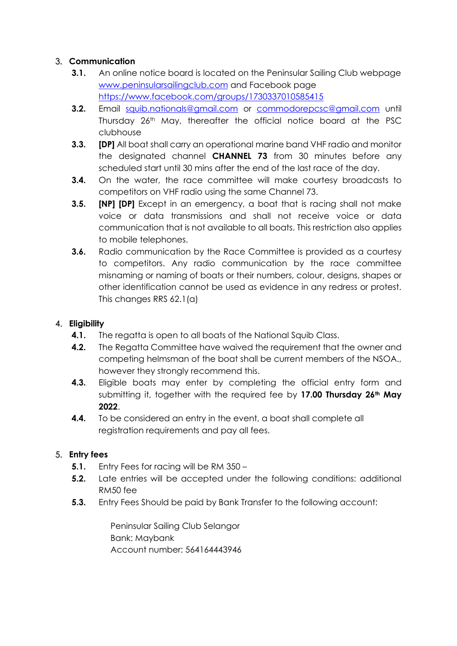# 3. **Communication**

- **3.1.** An online notice board is located on the Peninsular Sailing Club webpage [www.peninsularsailingclub.com](http://www.peninsularsailingclub.com/) and Facebook page <https://www.facebook.com/groups/1730337010585415>
- **3.2.** Email [squib.nationals@gmail.com](mailto:squib.nationals@gmail.com) or [commodorepcsc@gmail.com](mailto:commodorepcsc@gmail.com) until Thursday 26<sup>th</sup> May, thereafter the official notice board at the PSC clubhouse
- **3.3. [DP]** All boat shall carry an operational marine band VHF radio and monitor the designated channel **CHANNEL 73** from 30 minutes before any scheduled start until 30 mins after the end of the last race of the day.
- **3.4.** On the water, the race committee will make courtesy broadcasts to competitors on VHF radio using the same Channel 73.
- **3.5. [NP] [DP]** Except in an emergency, a boat that is racing shall not make voice or data transmissions and shall not receive voice or data communication that is not available to all boats. This restriction also applies to mobile telephones.
- **3.6.** Radio communication by the Race Committee is provided as a courtesy to competitors. Any radio communication by the race committee misnaming or naming of boats or their numbers, colour, designs, shapes or other identification cannot be used as evidence in any redress or protest. This changes RRS 62.1(a)

## 4. **Eligibility**

- **4.1.** The regatta is open to all boats of the National Squib Class.
- **4.2.** The Regatta Committee have waived the requirement that the owner and competing helmsman of the boat shall be current members of the NSOA., however they strongly recommend this.
- **4.3.** Eligible boats may enter by completing the official entry form and submitting it, together with the required fee by **17.00 Thursday 26th May 2022**.
- **4.4.** To be considered an entry in the event, a boat shall complete all registration requirements and pay all fees.

## 5. **Entry fees**

- **5.1.** Entry Fees for racing will be RM 350 –
- **5.2.** Late entries will be accepted under the following conditions: additional RM50 fee
- **5.3.** Entry Fees Should be paid by Bank Transfer to the following account:

Peninsular Sailing Club Selangor Bank: Maybank Account number: 564164443946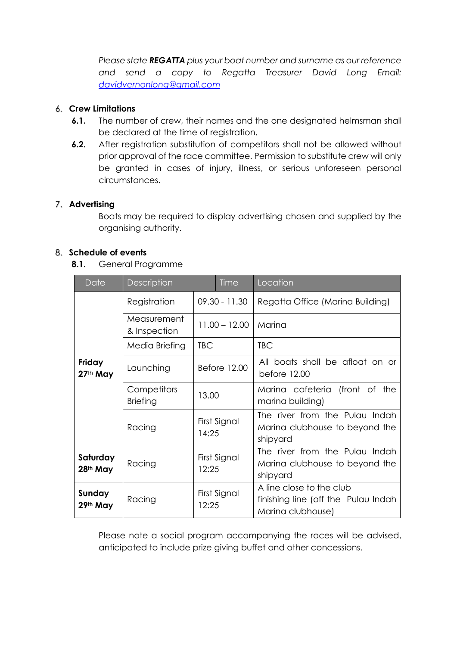*Please state REGATTA plus your boat number and surname as our reference and send a copy to Regatta Treasurer David Long Email: [davidvernonlong@gmail.com](mailto:davidvernonlong@gmail.com)*

#### 6. **Crew Limitations**

- **6.1.** The number of crew, their names and the one designated helmsman shall be declared at the time of registration.
- **6.2.** After registration substitution of competitors shall not be allowed without prior approval of the race committee. Permission to substitute crew will only be granted in cases of injury, illness, or serious unforeseen personal circumstances.

#### 7. **Advertising**

Boats may be required to display advertising chosen and supplied by the organising authority.

#### 8. **Schedule of events**

**8.1.** General Programme

| Date                             | Description                    |                       | <b>Time</b> | Location                                                                             |  |
|----------------------------------|--------------------------------|-----------------------|-------------|--------------------------------------------------------------------------------------|--|
| Friday<br>27th May               | Registration                   | $09.30 - 11.30$       |             | Regatta Office (Marina Building)                                                     |  |
|                                  | Measurement<br>& Inspection    | $11.00 - 12.00$       |             | Marina                                                                               |  |
|                                  | Media Briefing                 | <b>TBC</b>            |             | <b>TBC</b>                                                                           |  |
|                                  | Launching                      | Before 12.00          |             | All boats shall be afloat on or<br>before 12.00                                      |  |
|                                  | Competitors<br><b>Briefing</b> | 13.00                 |             | Marina cafeteria (front of the<br>marina building)                                   |  |
|                                  | Racing                         | First Signal<br>14:25 |             | The river from the Pulau Indah<br>Marina clubhouse to beyond the<br>shipyard         |  |
| Saturday<br>28 <sup>th</sup> May | Racing                         | First Signal<br>12:25 |             | The river from the Pulau Indah<br>Marina clubhouse to beyond the<br>shipyard         |  |
| Sunday<br>29th May               | Racing                         | First Signal<br>12:25 |             | A line close to the club<br>finishing line (off the Pulau Indah<br>Marina clubhouse) |  |

Please note a social program accompanying the races will be advised, anticipated to include prize giving buffet and other concessions.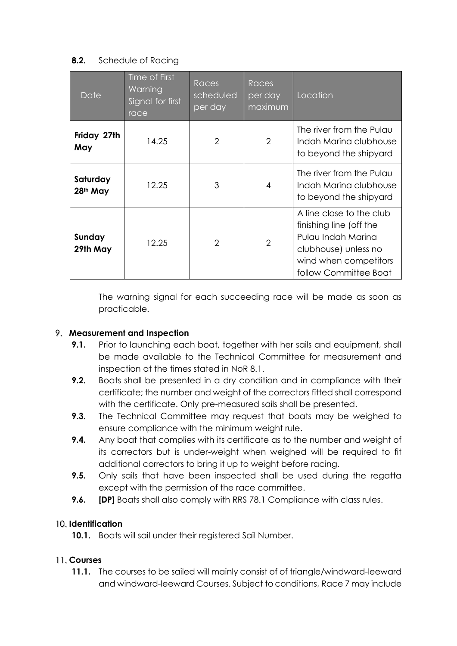## **8.2.** Schedule of Racing

| Date                             | Time of First<br>Warning<br>Signal for first<br>race | <b>Races</b><br>scheduled<br>per day | <b>Races</b><br>per day<br>maximum | Location                                                                                                                                            |
|----------------------------------|------------------------------------------------------|--------------------------------------|------------------------------------|-----------------------------------------------------------------------------------------------------------------------------------------------------|
| Friday 27th<br>May               | 14.25                                                | 2                                    | 2                                  | The river from the Pulau<br>Indah Marina clubhouse<br>to beyond the shipyard                                                                        |
| Saturday<br>28 <sup>th</sup> May | 12.25                                                | 3                                    | $\overline{4}$                     | The river from the Pulau<br>Indah Marina clubhouse<br>to beyond the shipyard                                                                        |
| Sunday<br>29th May               | 12.25                                                | $\mathcal{P}$                        | $\overline{2}$                     | A line close to the club<br>finishing line (off the<br>Pulau Indah Marina<br>clubhouse) unless no<br>wind when competitors<br>follow Committee Boat |

The warning signal for each succeeding race will be made as soon as practicable.

## 9. **Measurement and Inspection**

- **9.1.** Prior to launching each boat, together with her sails and equipment, shall be made available to the Technical Committee for measurement and inspection at the times stated in NoR 8.1.
- **9.2.** Boats shall be presented in a dry condition and in compliance with their certificate; the number and weight of the correctors fitted shall correspond with the certificate. Only pre-measured sails shall be presented.
- **9.3.** The Technical Committee may request that boats may be weighed to ensure compliance with the minimum weight rule.
- **9.4.** Any boat that complies with its certificate as to the number and weight of its correctors but is under-weight when weighed will be required to fit additional correctors to bring it up to weight before racing.
- **9.5.** Only sails that have been inspected shall be used during the regatta except with the permission of the race committee.
- **9.6. [DP]** Boats shall also comply with RRS 78.1 Compliance with class rules.

## 10. **Identification**

**10.1.** Boats will sail under their registered Sail Number.

## 11. **Courses**

**11.1.** The courses to be sailed will mainly consist of of triangle/windward-leeward and windward-leeward Courses. Subject to conditions, Race 7 may include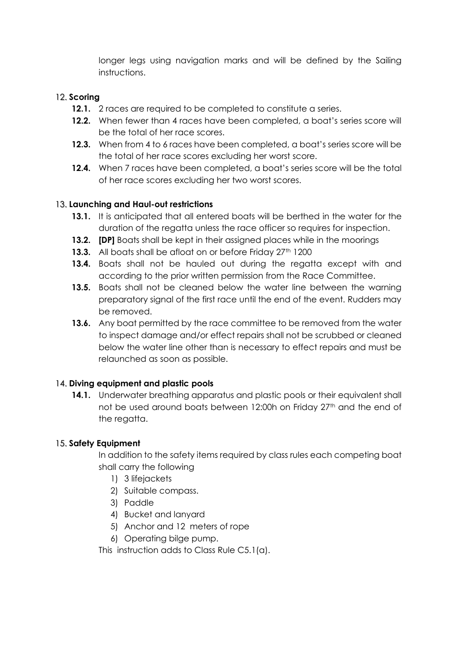longer legs using navigation marks and will be defined by the Sailing instructions.

# 12. **Scoring**

- **12.1.** 2 races are required to be completed to constitute a series.
- **12.2.** When fewer than 4 races have been completed, a boat's series score will be the total of her race scores.
- **12.3.** When from 4 to 6 races have been completed, a boat's series score will be the total of her race scores excluding her worst score.
- **12.4.** When 7 races have been completed, a boat's series score will be the total of her race scores excluding her two worst scores.

## 13. **Launching and Haul-out restrictions**

- **13.1.** It is anticipated that all entered boats will be berthed in the water for the duration of the regatta unless the race officer so requires for inspection.
- **13.2. [DP]** Boats shall be kept in their assigned places while in the moorings
- **13.3.** All boats shall be afloat on or before Friday 27<sup>th</sup> 1200
- **13.4.** Boats shall not be hauled out during the regatta except with and according to the prior written permission from the Race Committee.
- **13.5.** Boats shall not be cleaned below the water line between the warning preparatory signal of the first race until the end of the event. Rudders may be removed.
- **13.6.** Any boat permitted by the race committee to be removed from the water to inspect damage and/or effect repairs shall not be scrubbed or cleaned below the water line other than is necessary to effect repairs and must be relaunched as soon as possible.

## 14. **Diving equipment and plastic pools**

**14.1.** Underwater breathing apparatus and plastic pools or their equivalent shall not be used around boats between 12:00h on Friday 27<sup>th</sup> and the end of the regatta.

## 15. **Safety Equipment**

In addition to the safety items required by class rules each competing boat shall carry the following

- 1) 3 lifejackets
- 2) Suitable compass.
- 3) Paddle
- 4) Bucket and lanyard
- 5) Anchor and 12 meters of rope
- 6) Operating bilge pump.

This instruction adds to Class Rule C5.1(a).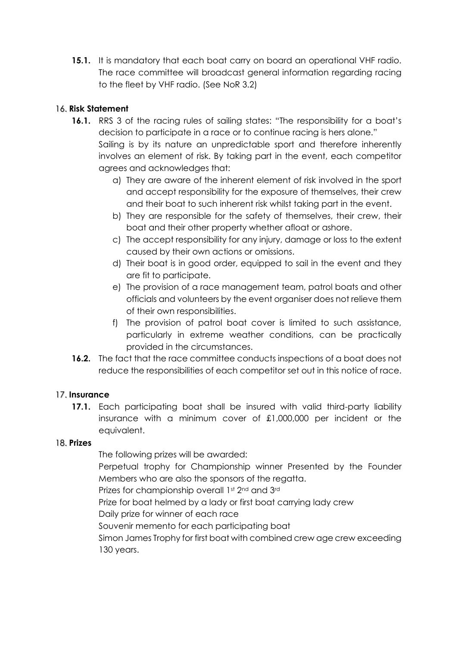**15.1.** It is mandatory that each boat carry on board an operational VHF radio. The race committee will broadcast general information regarding racing to the fleet by VHF radio. (See NoR 3.2)

# 16. **Risk Statement**

- **16.1.** RRS 3 of the racing rules of sailing states: "The responsibility for a boat's decision to participate in a race or to continue racing is hers alone." Sailing is by its nature an unpredictable sport and therefore inherently involves an element of risk. By taking part in the event, each competitor agrees and acknowledges that:
	- a) They are aware of the inherent element of risk involved in the sport and accept responsibility for the exposure of themselves, their crew and their boat to such inherent risk whilst taking part in the event.
	- b) They are responsible for the safety of themselves, their crew, their boat and their other property whether afloat or ashore.
	- c) The accept responsibility for any injury, damage or loss to the extent caused by their own actions or omissions.
	- d) Their boat is in good order, equipped to sail in the event and they are fit to participate.
	- e) The provision of a race management team, patrol boats and other officials and volunteers by the event organiser does not relieve them of their own responsibilities.
	- f) The provision of patrol boat cover is limited to such assistance, particularly in extreme weather conditions, can be practically provided in the circumstances.
- **16.2.** The fact that the race committee conducts inspections of a boat does not reduce the responsibilities of each competitor set out in this notice of race.

## 17. **Insurance**

**17.1.** Each participating boat shall be insured with valid third-party liability insurance with a minimum cover of £1,000,000 per incident or the equivalent.

## 18. **Prizes**

The following prizes will be awarded:

Perpetual trophy for Championship winner Presented by the Founder Members who are also the sponsors of the regatta.

Prizes for championship overall 1st 2nd and 3rd

Prize for boat helmed by a lady or first boat carrying lady crew

Daily prize for winner of each race

Souvenir memento for each participating boat

Simon James Trophy for first boat with combined crew age crew exceeding 130 years.